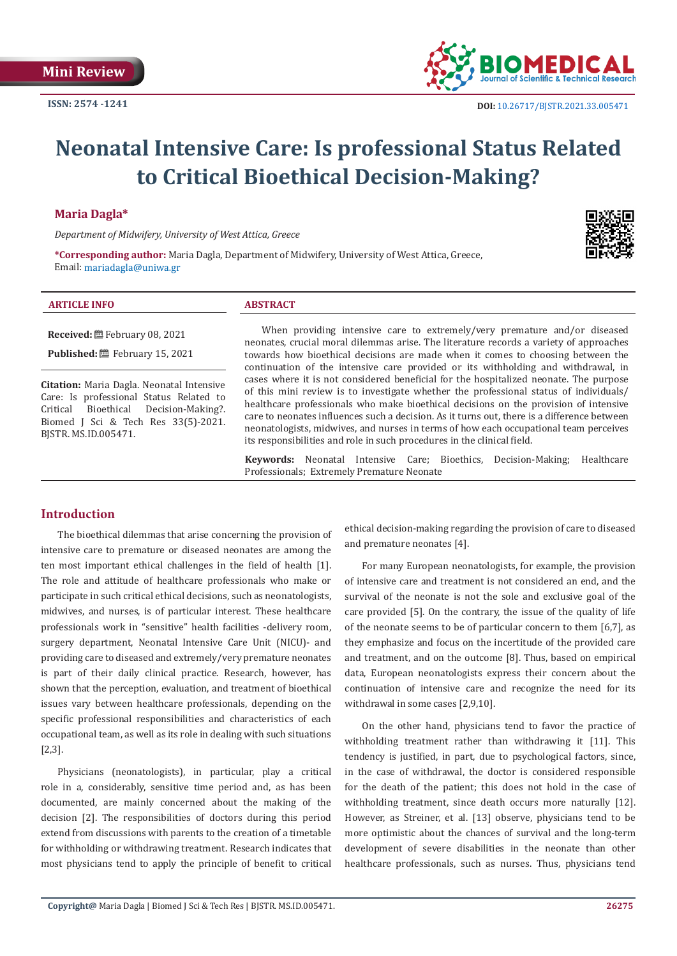

# **Neonatal Intensive Care: Is professional Status Related to Critical Bioethical Decision-Making?**

## **Maria Dagla\***

*Department of Midwifery, University of West Attica, Greece*

**\*Corresponding author:** Maria Dagla, Department of Midwifery, University of West Attica, Greece, Email: mariadagla@uniwa.gr

#### **ARTICLE INFO ABSTRACT**

**Received:** February 08, 2021 **Published:** February 15, 2021

**Citation:** Maria Dagla. Neonatal Intensive Care: Is professional Status Related to<br>Critical Bioethical Decision-Making?. Decision-Making?. Biomed J Sci & Tech Res 33(5)-2021. BJSTR. MS.ID.005471.

When providing intensive care to extremely/very premature and/or diseased neonates, crucial moral dilemmas arise. The literature records a variety of approaches towards how bioethical decisions are made when it comes to choosing between the continuation of the intensive care provided or its withholding and withdrawal, in cases where it is not considered beneficial for the hospitalized neonate. The purpose of this mini review is to investigate whether the professional status of individuals/ healthcare professionals who make bioethical decisions on the provision of intensive care to neonates influences such a decision. As it turns out, there is a difference between neonatologists, midwives, and nurses in terms of how each occupational team perceives its responsibilities and role in such procedures in the clinical field.

**Keywords:** Neonatal Intensive Care; Bioethics, Decision-Making; Healthcare Professionals; Extremely Premature Neonate

# **Introduction**

The bioethical dilemmas that arise concerning the provision of intensive care to premature or diseased neonates are among the ten most important ethical challenges in the field of health [1]. The role and attitude of healthcare professionals who make or participate in such critical ethical decisions, such as neonatologists, midwives, and nurses, is of particular interest. These healthcare professionals work in "sensitive" health facilities -delivery room, surgery department, Neonatal Intensive Care Unit (NICU)- and providing care to diseased and extremely/very premature neonates is part of their daily clinical practice. Research, however, has shown that the perception, evaluation, and treatment of bioethical issues vary between healthcare professionals, depending on the specific professional responsibilities and characteristics of each occupational team, as well as its role in dealing with such situations [2,3].

Physicians (neonatologists), in particular, play a critical role in a, considerably, sensitive time period and, as has been documented, are mainly concerned about the making of the decision [2]. The responsibilities of doctors during this period extend from discussions with parents to the creation of a timetable for withholding or withdrawing treatment. Research indicates that most physicians tend to apply the principle of benefit to critical

ethical decision-making regarding the provision of care to diseased and premature neonates [4].

For many European neonatologists, for example, the provision of intensive care and treatment is not considered an end, and the survival of the neonate is not the sole and exclusive goal of the care provided [5]. On the contrary, the issue of the quality of life of the neonate seems to be of particular concern to them [6,7], as they emphasize and focus on the incertitude of the provided care and treatment, and on the outcome [8]. Thus, based on empirical data, European neonatologists express their concern about the continuation of intensive care and recognize the need for its withdrawal in some cases [2,9,10].

On the other hand, physicians tend to favor the practice of withholding treatment rather than withdrawing it [11]. This tendency is justified, in part, due to psychological factors, since, in the case of withdrawal, the doctor is considered responsible for the death of the patient; this does not hold in the case of withholding treatment, since death occurs more naturally [12]. However, as Streiner, et al. [13] observe, physicians tend to be more optimistic about the chances of survival and the long-term development of severe disabilities in the neonate than other healthcare professionals, such as nurses. Thus, physicians tend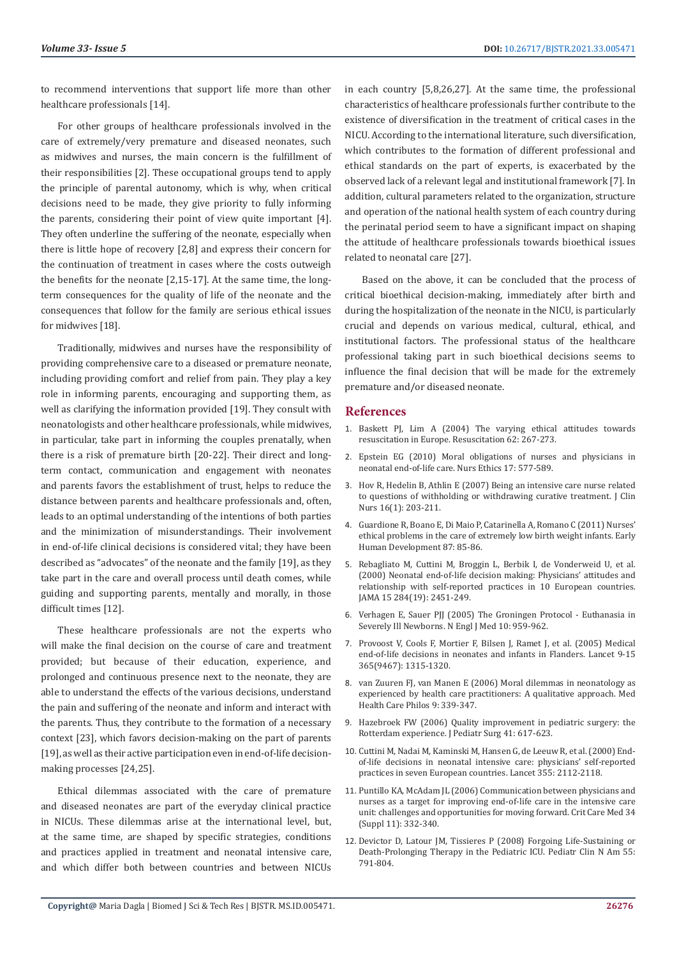to recommend interventions that support life more than other healthcare professionals [14].

For other groups of healthcare professionals involved in the care of extremely/very premature and diseased neonates, such as midwives and nurses, the main concern is the fulfillment of their responsibilities [2]. These occupational groups tend to apply the principle of parental autonomy, which is why, when critical decisions need to be made, they give priority to fully informing the parents, considering their point of view quite important [4]. They often underline the suffering of the neonate, especially when there is little hope of recovery [2,8] and express their concern for the continuation of treatment in cases where the costs outweigh the benefits for the neonate [2,15-17]. At the same time, the longterm consequences for the quality of life of the neonate and the consequences that follow for the family are serious ethical issues for midwives [18].

Traditionally, midwives and nurses have the responsibility of providing comprehensive care to a diseased or premature neonate, including providing comfort and relief from pain. They play a key role in informing parents, encouraging and supporting them, as well as clarifying the information provided [19]. They consult with neonatologists and other healthcare professionals, while midwives, in particular, take part in informing the couples prenatally, when there is a risk of premature birth [20-22]. Their direct and longterm contact, communication and engagement with neonates and parents favors the establishment of trust, helps to reduce the distance between parents and healthcare professionals and, often, leads to an optimal understanding of the intentions of both parties and the minimization of misunderstandings. Their involvement in end-of-life clinical decisions is considered vital; they have been described as "advocates" of the neonate and the family [19], as they take part in the care and overall process until death comes, while guiding and supporting parents, mentally and morally, in those difficult times [12].

These healthcare professionals are not the experts who will make the final decision on the course of care and treatment provided; but because of their education, experience, and prolonged and continuous presence next to the neonate, they are able to understand the effects of the various decisions, understand the pain and suffering of the neonate and inform and interact with the parents. Thus, they contribute to the formation of a necessary context [23], which favors decision-making on the part of parents [19], as well as their active participation even in end-of-life decisionmaking processes [24,25].

Ethical dilemmas associated with the care of premature and diseased neonates are part of the everyday clinical practice in NICUs. These dilemmas arise at the international level, but, at the same time, are shaped by specific strategies, conditions and practices applied in treatment and neonatal intensive care, and which differ both between countries and between NICUs in each country [5,8,26,27]. At the same time, the professional characteristics of healthcare professionals further contribute to the existence of diversification in the treatment of critical cases in the NICU. According to the international literature, such diversification, which contributes to the formation of different professional and ethical standards on the part of experts, is exacerbated by the observed lack of a relevant legal and institutional framework [7]. In addition, cultural parameters related to the organization, structure and operation of the national health system of each country during the perinatal period seem to have a significant impact on shaping the attitude of healthcare professionals towards bioethical issues related to neonatal care [27].

Based on the above, it can be concluded that the process of critical bioethical decision-making, immediately after birth and during the hospitalization of the neonate in the NICU, is particularly crucial and depends on various medical, cultural, ethical, and institutional factors. The professional status of the healthcare professional taking part in such bioethical decisions seems to influence the final decision that will be made for the extremely premature and/or diseased neonate.

### **References**

- 1. [Baskett PJ, Lim A \(2004\) The varying ethical attitudes towards](https://www.sciencedirect.com/science/article/abs/pii/S030095720400228X) [resuscitation in Europe. Resuscitation 62: 267-273.](https://www.sciencedirect.com/science/article/abs/pii/S030095720400228X)
- 2. [Epstein EG \(2010\) Moral obligations of nurses and physicians in](https://www.ncbi.nlm.nih.gov/pmc/articles/PMC3615421/) [neonatal end-of-life care. Nurs Ethics 17: 577-589.](https://www.ncbi.nlm.nih.gov/pmc/articles/PMC3615421/)
- 3. [Hov R, Hedelin B, Athlin E \(2007\) Being an intensive care nurse related](https://pubmed.ncbi.nlm.nih.gov/17181683/) [to questions of withholding or withdrawing curative treatment. J Clin](https://pubmed.ncbi.nlm.nih.gov/17181683/) [Nurs 16\(1\): 203-211.](https://pubmed.ncbi.nlm.nih.gov/17181683/)
- 4. [Guardione R, Boano E, Di Maio P, Catarinella A, Romano C \(2011\) Nurses'](https://pubmed.ncbi.nlm.nih.gov/21306841/) [ethical problems in the care of extremely low birth weight infants. Early](https://pubmed.ncbi.nlm.nih.gov/21306841/) [Human Development 87: 85-86.](https://pubmed.ncbi.nlm.nih.gov/21306841/)
- 5. [Rebagliato M, Cuttini M, Broggin L, Berbik I, de Vonderweid U, et al.](https://pubmed.ncbi.nlm.nih.gov/11074774/) [\(2000\) Neonatal end-of-life decision making: Physicians' attitudes and](https://pubmed.ncbi.nlm.nih.gov/11074774/) [relationship with self-reported practices in 10 European countries.](https://pubmed.ncbi.nlm.nih.gov/11074774/) [JAMA 15 284\(19\): 2451-249.](https://pubmed.ncbi.nlm.nih.gov/11074774/)
- 6. [Verhagen E, Sauer PJJ \(2005\) The Groningen Protocol Euthanasia in](https://www.nejm.org/doi/full/10.1056/nejmp058026) [Severely Ill Newborns. Ν Εngl J Med 10: 959-962.](https://www.nejm.org/doi/full/10.1056/nejmp058026)
- 7. [Provoost V, Cools F, Mortier F, Bilsen J, Ramet J, et al. \(2005\) Medical](https://pubmed.ncbi.nlm.nih.gov/15823381/) [end-of-life decisions in neonates and infants in Flanders. Lancet 9-15](https://pubmed.ncbi.nlm.nih.gov/15823381/) [365\(9467\): 1315-1320.](https://pubmed.ncbi.nlm.nih.gov/15823381/)
- 8. [van Zuuren FJ, van Manen E \(2006\) Moral dilemmas in neonatology as](https://pubmed.ncbi.nlm.nih.gov/17082871/) [experienced by health care practitioners: A qualitative approach. Med](https://pubmed.ncbi.nlm.nih.gov/17082871/) [Health Care Philos 9: 339-347.](https://pubmed.ncbi.nlm.nih.gov/17082871/)
- 9. [Hazebroek FW \(2006\) Quality improvement in pediatric surgery: the](https://www.researchgate.net/publication/278162382_Quality_improvement_in_pediatric_surgery_The_Rotterdam_experience) [Rotterdam experience. J Pediatr Surg 41: 617-623.](https://www.researchgate.net/publication/278162382_Quality_improvement_in_pediatric_surgery_The_Rotterdam_experience)
- 10. [Cuttini M, Nadai M, Kaminski M, Hansen G, de Leeuw R, et al. \(2000\) End](https://pubmed.ncbi.nlm.nih.gov/10902625/)[of-life decisions in neonatal intensive care: physicians' self-reported](https://pubmed.ncbi.nlm.nih.gov/10902625/) [practices in seven European countries. Lancet 355: 2112-2118.](https://pubmed.ncbi.nlm.nih.gov/10902625/)
- 11. [Puntillo KA, McAdam JL \(2006\) Communication between physicians and](https://pubmed.ncbi.nlm.nih.gov/17057595/) [nurses as a target for improving end-of-life care in the intensive care](https://pubmed.ncbi.nlm.nih.gov/17057595/) [unit: challenges and opportunities for moving forward. Crit Care Med 34](https://pubmed.ncbi.nlm.nih.gov/17057595/) [\(Suppl 11\): 332-340.](https://pubmed.ncbi.nlm.nih.gov/17057595/)
- 12. [Devictor D, Latour JM, Tissieres P \(2008\) Forgoing Life-Sustaining or](https://pubmed.ncbi.nlm.nih.gov/18501766/) [Death-Prolonging Therapy in the Pediatric ICU. Pediatr Clin N Am 55:](https://pubmed.ncbi.nlm.nih.gov/18501766/) [791-804.](https://pubmed.ncbi.nlm.nih.gov/18501766/)